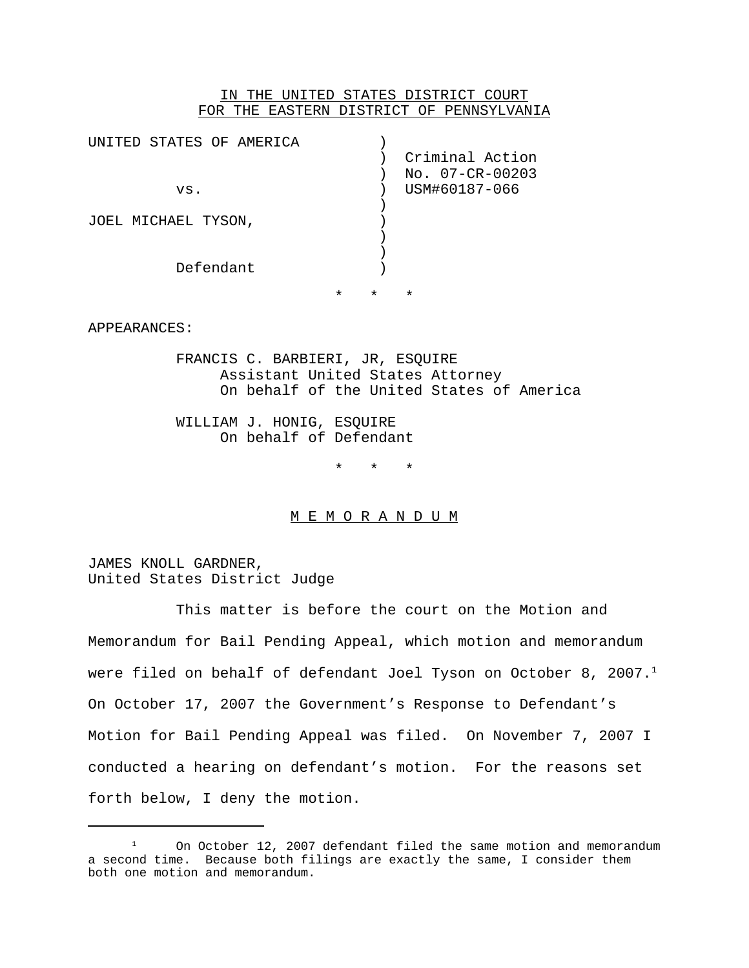## IN THE UNITED STATES DISTRICT COURT FOR THE EASTERN DISTRICT OF PENNSYLVANIA

| UNITED STATES OF AMERICA<br>VS.<br>JOEL MICHAEL TYSON, |         |         | Criminal Action<br>No. 07-CR-00203<br>USM#60187-066 |
|--------------------------------------------------------|---------|---------|-----------------------------------------------------|
| Defendant                                              | $\star$ | $\star$ | $\star$                                             |

APPEARANCES:

FRANCIS C. BARBIERI, JR, ESQUIRE Assistant United States Attorney On behalf of the United States of America

WILLIAM J. HONIG, ESQUIRE On behalf of Defendant

\* \* \*

### M E M O R A N D U M

JAMES KNOLL GARDNER, United States District Judge

This matter is before the court on the Motion and Memorandum for Bail Pending Appeal, which motion and memorandum were filed on behalf of defendant Joel Tyson on October 8, 2007.<sup>1</sup> On October 17, 2007 the Government's Response to Defendant's Motion for Bail Pending Appeal was filed. On November 7, 2007 I conducted a hearing on defendant's motion. For the reasons set forth below, I deny the motion.

 $1$  On October 12, 2007 defendant filed the same motion and memorandum a second time. Because both filings are exactly the same, I consider them both one motion and memorandum.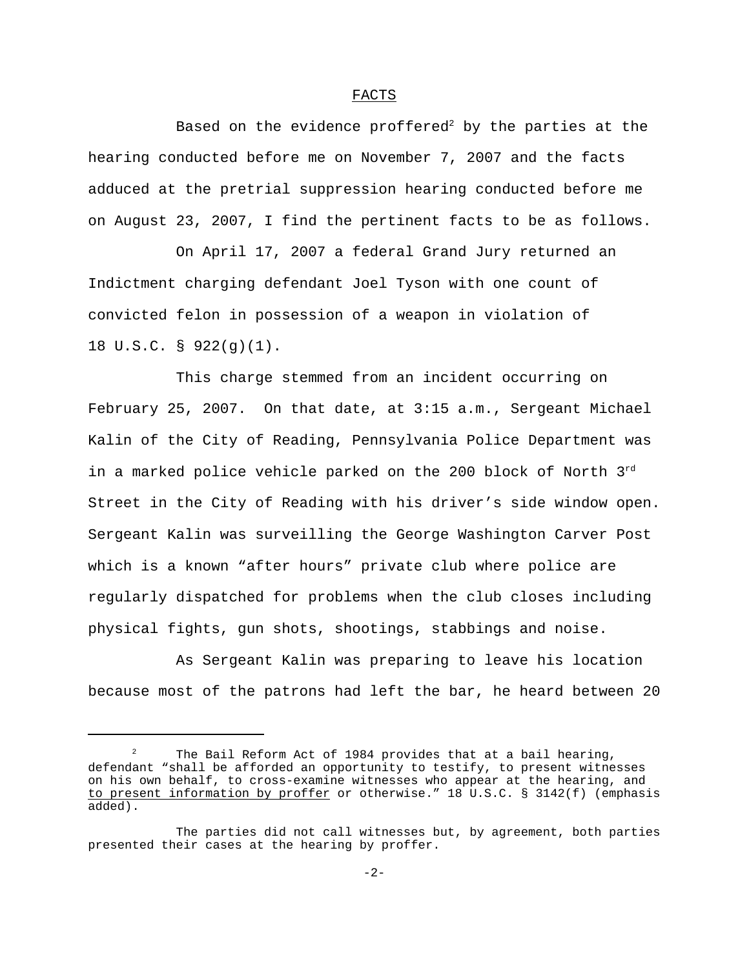### FACTS

Based on the evidence proffered<sup>2</sup> by the parties at the hearing conducted before me on November 7, 2007 and the facts adduced at the pretrial suppression hearing conducted before me on August 23, 2007, I find the pertinent facts to be as follows.

On April 17, 2007 a federal Grand Jury returned an Indictment charging defendant Joel Tyson with one count of convicted felon in possession of a weapon in violation of 18 U.S.C. § 922(g)(1).

This charge stemmed from an incident occurring on February 25, 2007. On that date, at 3:15 a.m., Sergeant Michael Kalin of the City of Reading, Pennsylvania Police Department was in a marked police vehicle parked on the 200 block of North 3rd Street in the City of Reading with his driver's side window open. Sergeant Kalin was surveilling the George Washington Carver Post which is a known "after hours" private club where police are regularly dispatched for problems when the club closes including physical fights, gun shots, shootings, stabbings and noise.

As Sergeant Kalin was preparing to leave his location because most of the patrons had left the bar, he heard between 20

The Bail Reform Act of 1984 provides that at a bail hearing, defendant "shall be afforded an opportunity to testify, to present witnesses on his own behalf, to cross-examine witnesses who appear at the hearing, and to present information by proffer or otherwise." 18 U.S.C. § 3142(f) (emphasis added).

The parties did not call witnesses but, by agreement, both parties presented their cases at the hearing by proffer.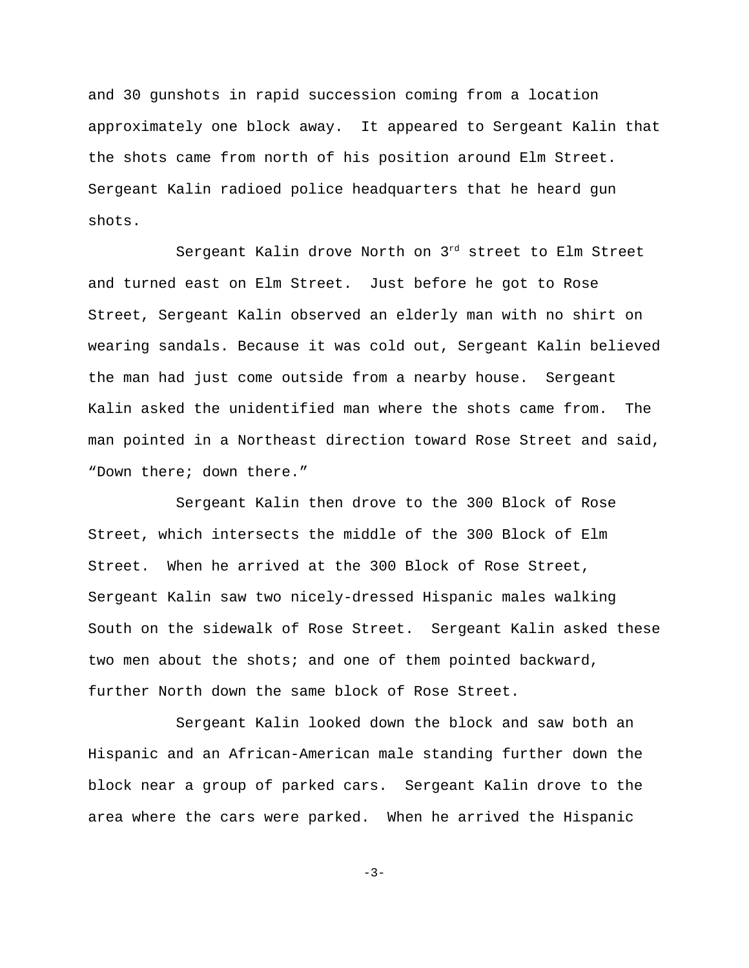and 30 gunshots in rapid succession coming from a location approximately one block away. It appeared to Sergeant Kalin that the shots came from north of his position around Elm Street. Sergeant Kalin radioed police headquarters that he heard gun shots.

Sergeant Kalin drove North on 3rd street to Elm Street and turned east on Elm Street. Just before he got to Rose Street, Sergeant Kalin observed an elderly man with no shirt on wearing sandals. Because it was cold out, Sergeant Kalin believed the man had just come outside from a nearby house. Sergeant Kalin asked the unidentified man where the shots came from. The man pointed in a Northeast direction toward Rose Street and said, "Down there; down there."

Sergeant Kalin then drove to the 300 Block of Rose Street, which intersects the middle of the 300 Block of Elm Street. When he arrived at the 300 Block of Rose Street, Sergeant Kalin saw two nicely-dressed Hispanic males walking South on the sidewalk of Rose Street. Sergeant Kalin asked these two men about the shots; and one of them pointed backward, further North down the same block of Rose Street.

Sergeant Kalin looked down the block and saw both an Hispanic and an African-American male standing further down the block near a group of parked cars. Sergeant Kalin drove to the area where the cars were parked. When he arrived the Hispanic

-3-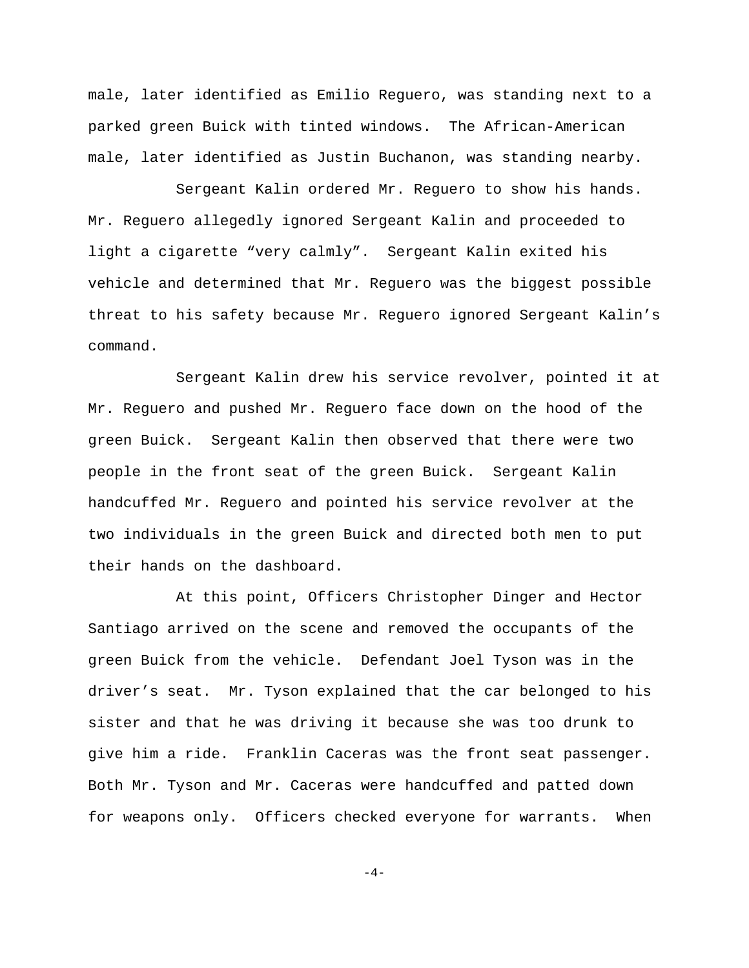male, later identified as Emilio Reguero, was standing next to a parked green Buick with tinted windows. The African-American male, later identified as Justin Buchanon, was standing nearby.

Sergeant Kalin ordered Mr. Reguero to show his hands. Mr. Reguero allegedly ignored Sergeant Kalin and proceeded to light a cigarette "very calmly". Sergeant Kalin exited his vehicle and determined that Mr. Reguero was the biggest possible threat to his safety because Mr. Reguero ignored Sergeant Kalin's command.

Sergeant Kalin drew his service revolver, pointed it at Mr. Reguero and pushed Mr. Reguero face down on the hood of the green Buick. Sergeant Kalin then observed that there were two people in the front seat of the green Buick. Sergeant Kalin handcuffed Mr. Reguero and pointed his service revolver at the two individuals in the green Buick and directed both men to put their hands on the dashboard.

At this point, Officers Christopher Dinger and Hector Santiago arrived on the scene and removed the occupants of the green Buick from the vehicle. Defendant Joel Tyson was in the driver's seat. Mr. Tyson explained that the car belonged to his sister and that he was driving it because she was too drunk to give him a ride. Franklin Caceras was the front seat passenger. Both Mr. Tyson and Mr. Caceras were handcuffed and patted down for weapons only. Officers checked everyone for warrants. When

 $-4-$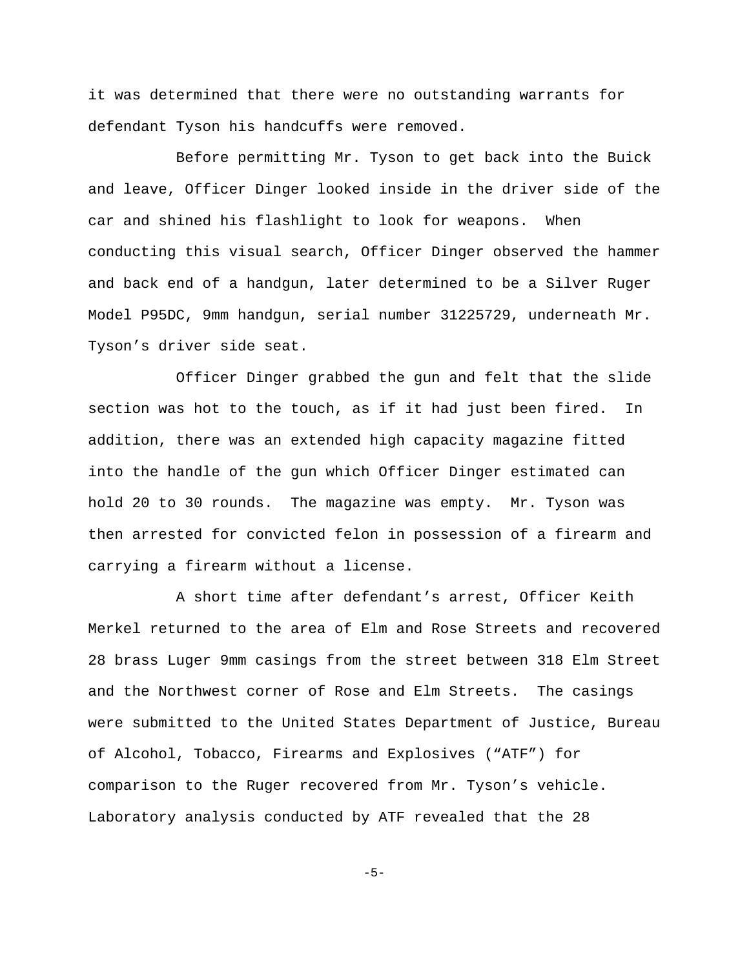it was determined that there were no outstanding warrants for defendant Tyson his handcuffs were removed.

Before permitting Mr. Tyson to get back into the Buick and leave, Officer Dinger looked inside in the driver side of the car and shined his flashlight to look for weapons. When conducting this visual search, Officer Dinger observed the hammer and back end of a handgun, later determined to be a Silver Ruger Model P95DC, 9mm handgun, serial number 31225729, underneath Mr. Tyson's driver side seat.

Officer Dinger grabbed the gun and felt that the slide section was hot to the touch, as if it had just been fired. In addition, there was an extended high capacity magazine fitted into the handle of the gun which Officer Dinger estimated can hold 20 to 30 rounds. The magazine was empty. Mr. Tyson was then arrested for convicted felon in possession of a firearm and carrying a firearm without a license.

A short time after defendant's arrest, Officer Keith Merkel returned to the area of Elm and Rose Streets and recovered 28 brass Luger 9mm casings from the street between 318 Elm Street and the Northwest corner of Rose and Elm Streets. The casings were submitted to the United States Department of Justice, Bureau of Alcohol, Tobacco, Firearms and Explosives ("ATF") for comparison to the Ruger recovered from Mr. Tyson's vehicle. Laboratory analysis conducted by ATF revealed that the 28

-5-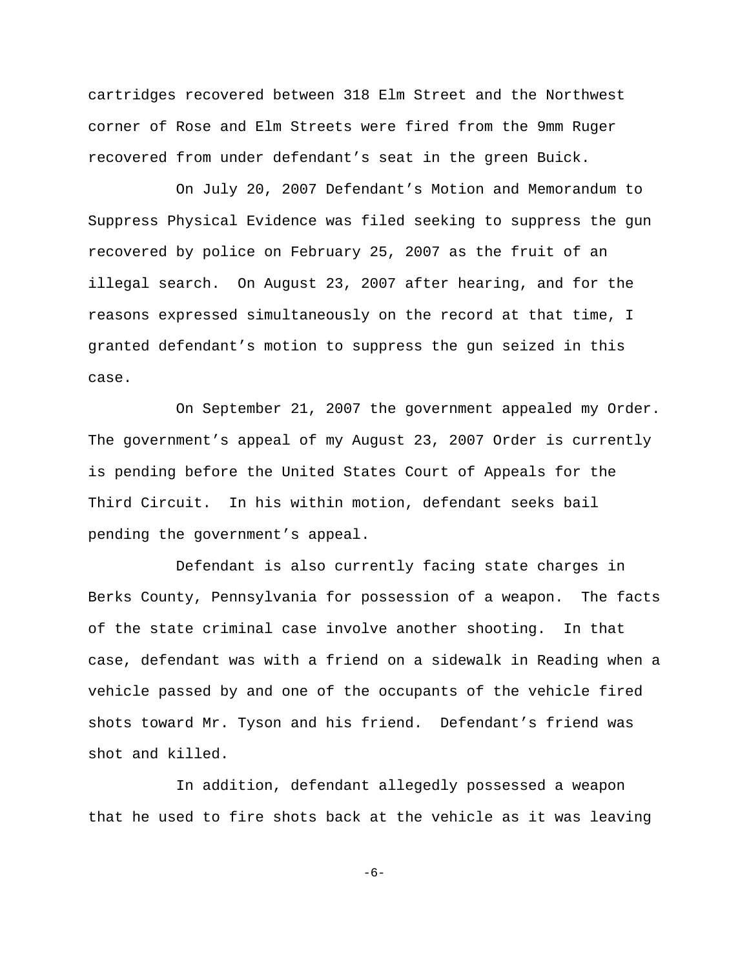cartridges recovered between 318 Elm Street and the Northwest corner of Rose and Elm Streets were fired from the 9mm Ruger recovered from under defendant's seat in the green Buick.

On July 20, 2007 Defendant's Motion and Memorandum to Suppress Physical Evidence was filed seeking to suppress the gun recovered by police on February 25, 2007 as the fruit of an illegal search. On August 23, 2007 after hearing, and for the reasons expressed simultaneously on the record at that time, I granted defendant's motion to suppress the gun seized in this case.

On September 21, 2007 the government appealed my Order. The government's appeal of my August 23, 2007 Order is currently is pending before the United States Court of Appeals for the Third Circuit. In his within motion, defendant seeks bail pending the government's appeal.

Defendant is also currently facing state charges in Berks County, Pennsylvania for possession of a weapon. The facts of the state criminal case involve another shooting. In that case, defendant was with a friend on a sidewalk in Reading when a vehicle passed by and one of the occupants of the vehicle fired shots toward Mr. Tyson and his friend. Defendant's friend was shot and killed.

In addition, defendant allegedly possessed a weapon that he used to fire shots back at the vehicle as it was leaving

-6-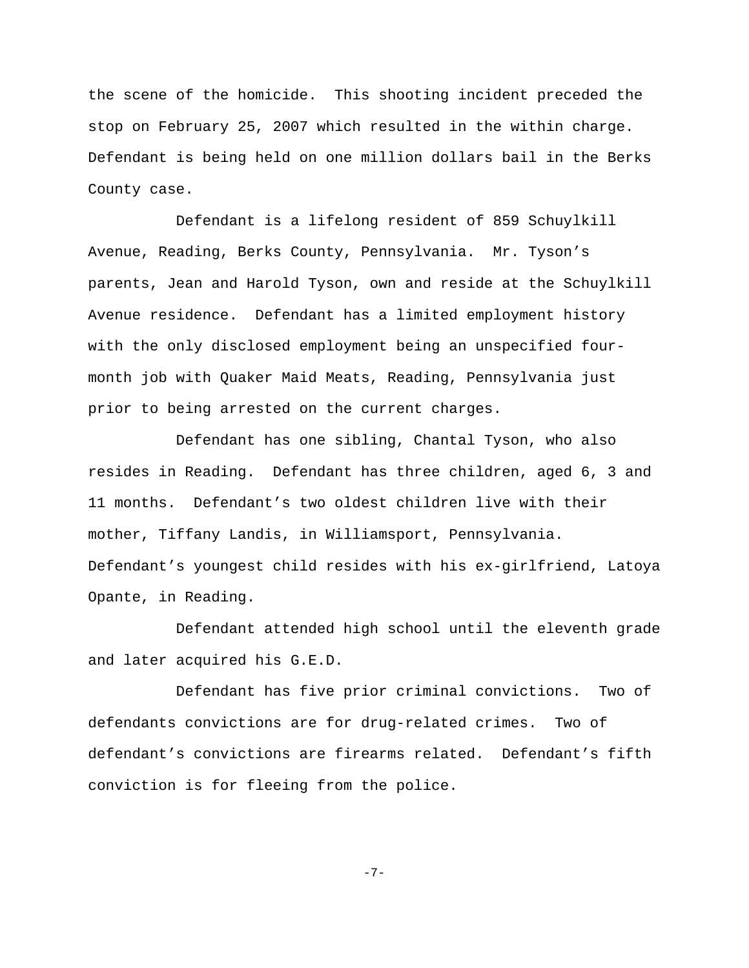the scene of the homicide. This shooting incident preceded the stop on February 25, 2007 which resulted in the within charge. Defendant is being held on one million dollars bail in the Berks County case.

Defendant is a lifelong resident of 859 Schuylkill Avenue, Reading, Berks County, Pennsylvania. Mr. Tyson's parents, Jean and Harold Tyson, own and reside at the Schuylkill Avenue residence. Defendant has a limited employment history with the only disclosed employment being an unspecified fourmonth job with Quaker Maid Meats, Reading, Pennsylvania just prior to being arrested on the current charges.

Defendant has one sibling, Chantal Tyson, who also resides in Reading. Defendant has three children, aged 6, 3 and 11 months. Defendant's two oldest children live with their mother, Tiffany Landis, in Williamsport, Pennsylvania. Defendant's youngest child resides with his ex-girlfriend, Latoya Opante, in Reading.

Defendant attended high school until the eleventh grade and later acquired his G.E.D.

Defendant has five prior criminal convictions. Two of defendants convictions are for drug-related crimes. Two of defendant's convictions are firearms related. Defendant's fifth conviction is for fleeing from the police.

-7-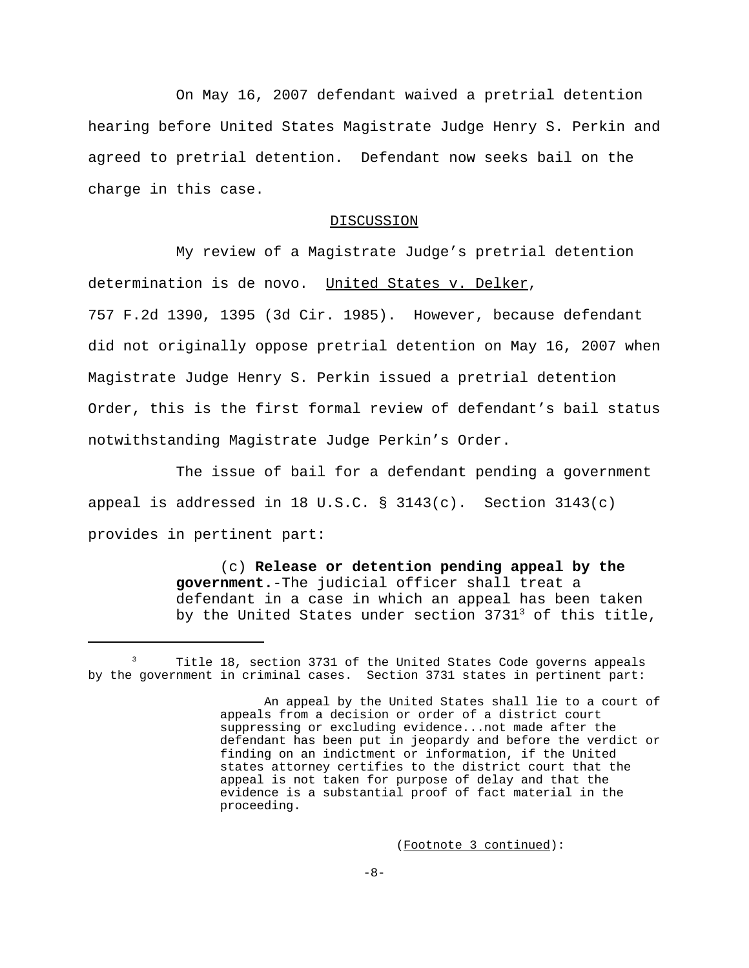On May 16, 2007 defendant waived a pretrial detention hearing before United States Magistrate Judge Henry S. Perkin and agreed to pretrial detention. Defendant now seeks bail on the charge in this case.

#### DISCUSSION

My review of a Magistrate Judge's pretrial detention determination is de novo. United States v. Delker, 757 F.2d 1390, 1395 (3d Cir. 1985). However, because defendant did not originally oppose pretrial detention on May 16, 2007 when Magistrate Judge Henry S. Perkin issued a pretrial detention Order, this is the first formal review of defendant's bail status notwithstanding Magistrate Judge Perkin's Order.

The issue of bail for a defendant pending a government appeal is addressed in 18 U.S.C. § 3143(c). Section 3143(c) provides in pertinent part:

> (c) **Release or detention pending appeal by the government.**-The judicial officer shall treat a defendant in a case in which an appeal has been taken by the United States under section  $3731<sup>3</sup>$  of this title,

<sup>&</sup>lt;sup>3</sup> Title 18, section 3731 of the United States Code governs appeals by the government in criminal cases. Section 3731 states in pertinent part:

An appeal by the United States shall lie to a court of appeals from a decision or order of a district court suppressing or excluding evidence...not made after the defendant has been put in jeopardy and before the verdict or finding on an indictment or information, if the United states attorney certifies to the district court that the appeal is not taken for purpose of delay and that the evidence is a substantial proof of fact material in the proceeding.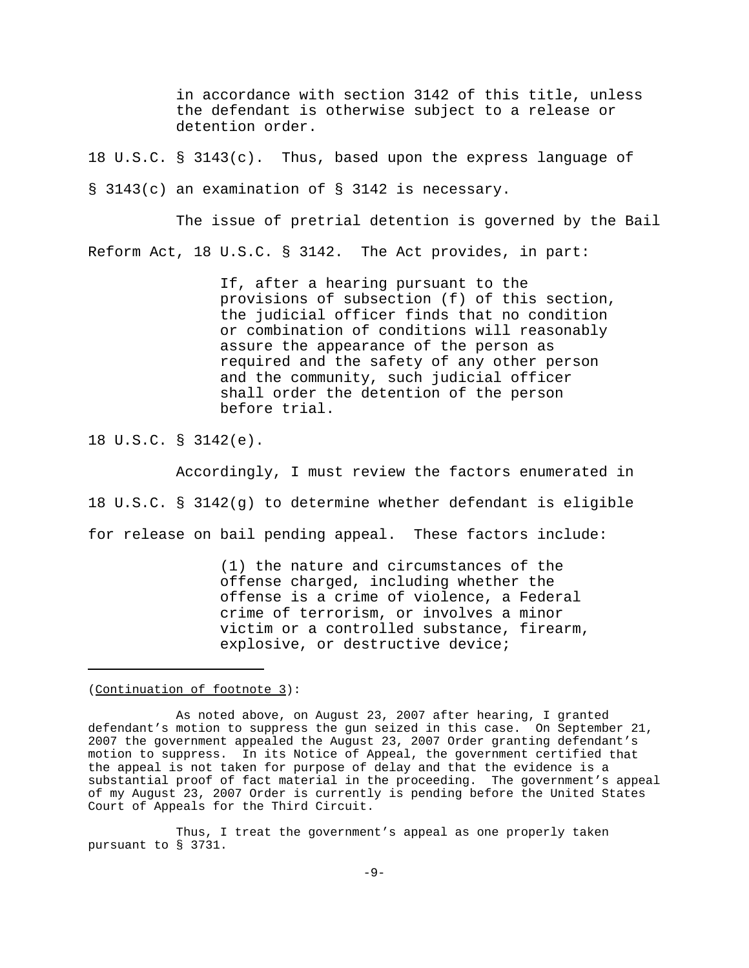in accordance with section 3142 of this title, unless the defendant is otherwise subject to a release or detention order.

18 U.S.C. § 3143(c). Thus, based upon the express language of § 3143(c) an examination of § 3142 is necessary.

The issue of pretrial detention is governed by the Bail Reform Act, 18 U.S.C. § 3142. The Act provides, in part:

> If, after a hearing pursuant to the provisions of subsection (f) of this section, the judicial officer finds that no condition or combination of conditions will reasonably assure the appearance of the person as required and the safety of any other person and the community, such judicial officer shall order the detention of the person before trial.

18 U.S.C. § 3142(e).

Accordingly, I must review the factors enumerated in 18 U.S.C. § 3142(g) to determine whether defendant is eligible for release on bail pending appeal. These factors include:

> (1) the nature and circumstances of the offense charged, including whether the offense is a crime of violence, a Federal crime of terrorism, or involves a minor victim or a controlled substance, firearm, explosive, or destructive device;

(Continuation of footnote 3):

Thus, I treat the government's appeal as one properly taken pursuant to § 3731.

As noted above, on August 23, 2007 after hearing, I granted defendant's motion to suppress the gun seized in this case. On September 21, 2007 the government appealed the August 23, 2007 Order granting defendant's motion to suppress. In its Notice of Appeal, the government certified that the appeal is not taken for purpose of delay and that the evidence is a substantial proof of fact material in the proceeding. The government's appeal of my August 23, 2007 Order is currently is pending before the United States Court of Appeals for the Third Circuit.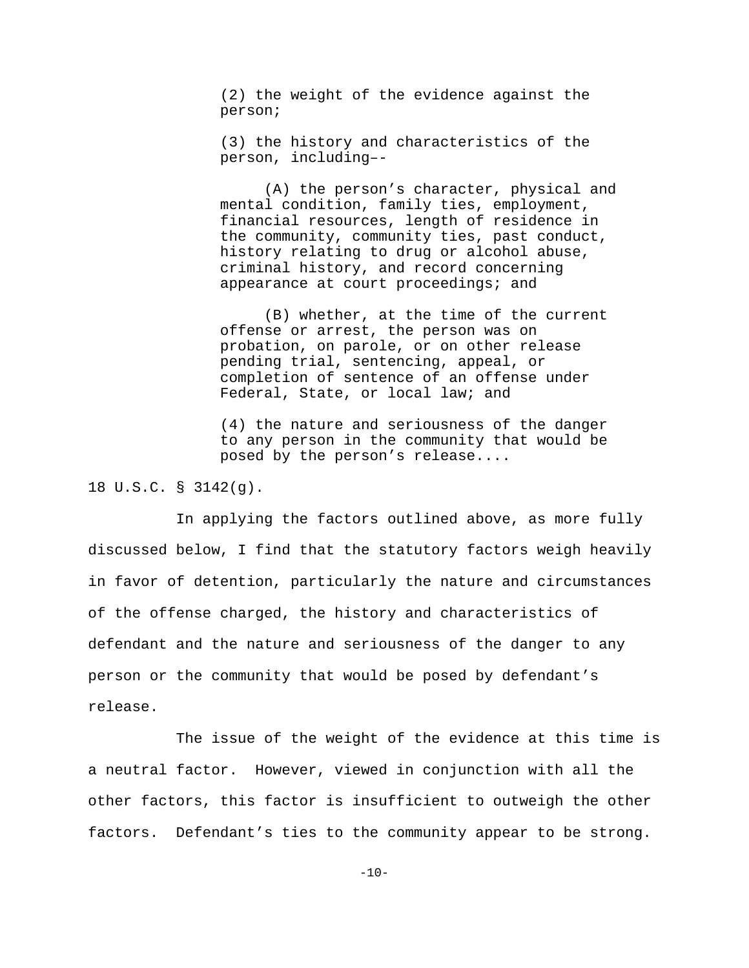(2) the weight of the evidence against the person;

(3) the history and characteristics of the person, including–-

(A) the person's character, physical and mental condition, family ties, employment, financial resources, length of residence in the community, community ties, past conduct, history relating to drug or alcohol abuse, criminal history, and record concerning appearance at court proceedings; and

(B) whether, at the time of the current offense or arrest, the person was on probation, on parole, or on other release pending trial, sentencing, appeal, or completion of sentence of an offense under Federal, State, or local law; and

(4) the nature and seriousness of the danger to any person in the community that would be posed by the person's release....

# 18 U.S.C. § 3142(g).

In applying the factors outlined above, as more fully discussed below, I find that the statutory factors weigh heavily in favor of detention, particularly the nature and circumstances of the offense charged, the history and characteristics of defendant and the nature and seriousness of the danger to any person or the community that would be posed by defendant's release.

The issue of the weight of the evidence at this time is a neutral factor. However, viewed in conjunction with all the other factors, this factor is insufficient to outweigh the other factors. Defendant's ties to the community appear to be strong.

 $-10-$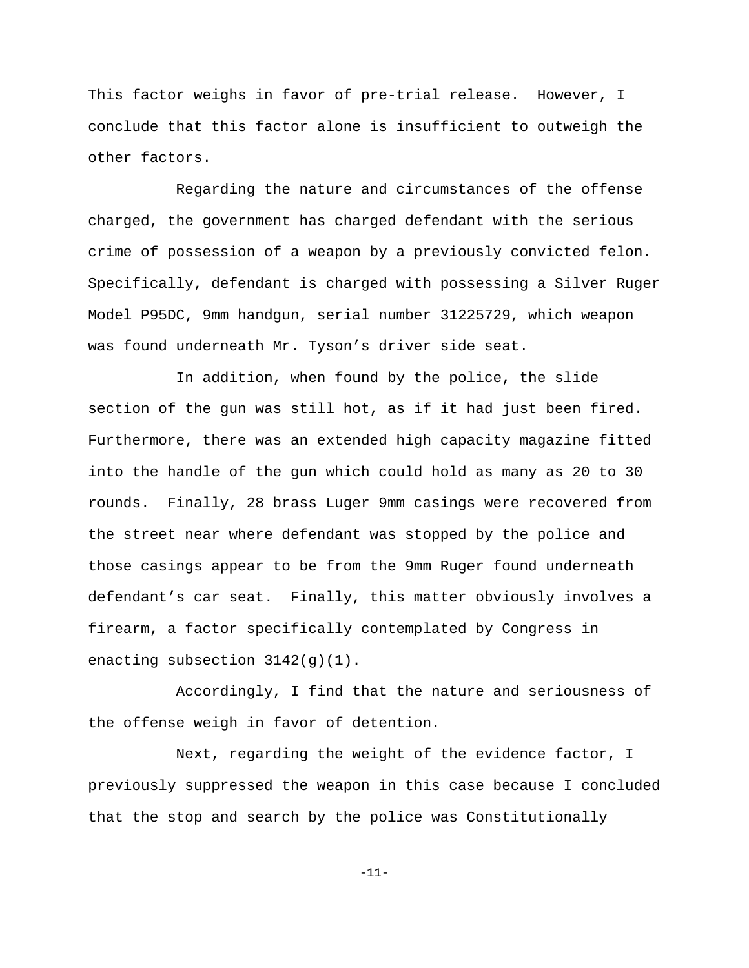This factor weighs in favor of pre-trial release. However, I conclude that this factor alone is insufficient to outweigh the other factors.

Regarding the nature and circumstances of the offense charged, the government has charged defendant with the serious crime of possession of a weapon by a previously convicted felon. Specifically, defendant is charged with possessing a Silver Ruger Model P95DC, 9mm handgun, serial number 31225729, which weapon was found underneath Mr. Tyson's driver side seat.

In addition, when found by the police, the slide section of the gun was still hot, as if it had just been fired. Furthermore, there was an extended high capacity magazine fitted into the handle of the gun which could hold as many as 20 to 30 rounds. Finally, 28 brass Luger 9mm casings were recovered from the street near where defendant was stopped by the police and those casings appear to be from the 9mm Ruger found underneath defendant's car seat. Finally, this matter obviously involves a firearm, a factor specifically contemplated by Congress in enacting subsection  $3142(q)(1)$ .

Accordingly, I find that the nature and seriousness of the offense weigh in favor of detention.

Next, regarding the weight of the evidence factor, I previously suppressed the weapon in this case because I concluded that the stop and search by the police was Constitutionally

-11-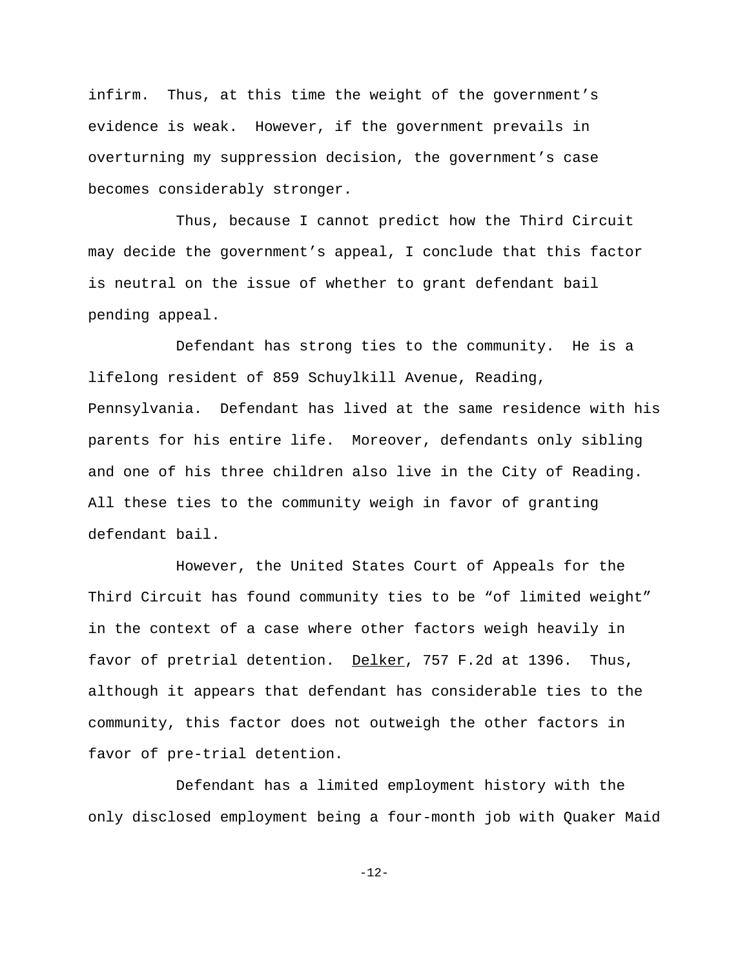infirm. Thus, at this time the weight of the government's evidence is weak. However, if the government prevails in overturning my suppression decision, the government's case becomes considerably stronger.

Thus, because I cannot predict how the Third Circuit may decide the government's appeal, I conclude that this factor is neutral on the issue of whether to grant defendant bail pending appeal.

Defendant has strong ties to the community. He is a lifelong resident of 859 Schuylkill Avenue, Reading, Pennsylvania. Defendant has lived at the same residence with his parents for his entire life. Moreover, defendants only sibling and one of his three children also live in the City of Reading. All these ties to the community weigh in favor of granting defendant bail.

However, the United States Court of Appeals for the Third Circuit has found community ties to be "of limited weight" in the context of a case where other factors weigh heavily in favor of pretrial detention. Delker, 757 F.2d at 1396. Thus, although it appears that defendant has considerable ties to the community, this factor does not outweigh the other factors in favor of pre-trial detention.

Defendant has a limited employment history with the only disclosed employment being a four-month job with Quaker Maid

-12-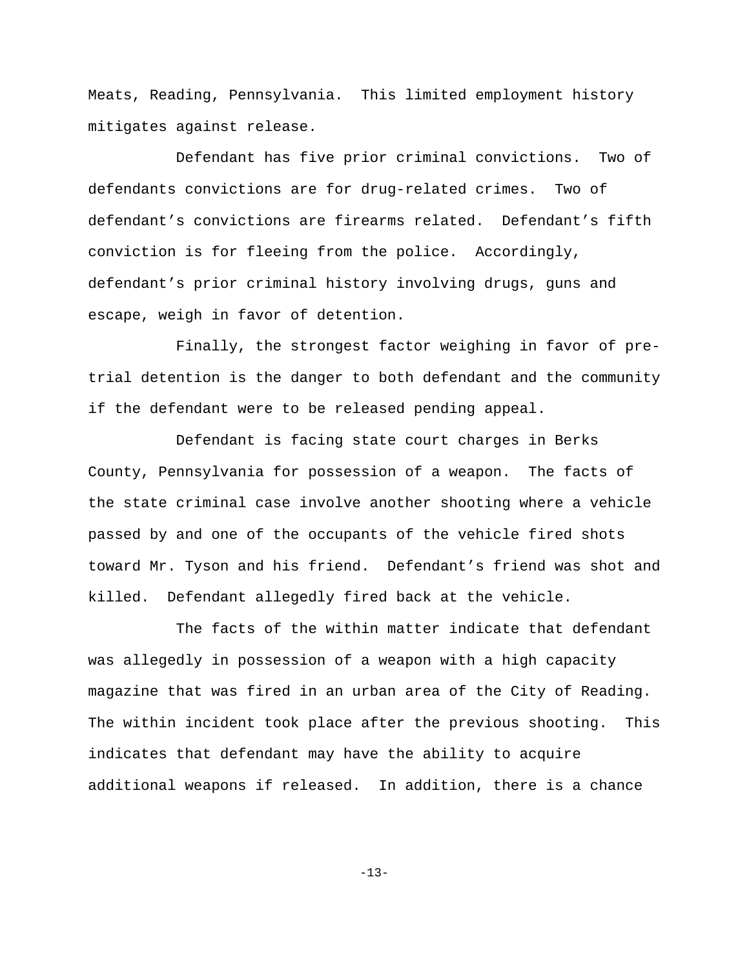Meats, Reading, Pennsylvania. This limited employment history mitigates against release.

Defendant has five prior criminal convictions. Two of defendants convictions are for drug-related crimes. Two of defendant's convictions are firearms related. Defendant's fifth conviction is for fleeing from the police. Accordingly, defendant's prior criminal history involving drugs, guns and escape, weigh in favor of detention.

Finally, the strongest factor weighing in favor of pretrial detention is the danger to both defendant and the community if the defendant were to be released pending appeal.

Defendant is facing state court charges in Berks County, Pennsylvania for possession of a weapon. The facts of the state criminal case involve another shooting where a vehicle passed by and one of the occupants of the vehicle fired shots toward Mr. Tyson and his friend. Defendant's friend was shot and killed. Defendant allegedly fired back at the vehicle.

The facts of the within matter indicate that defendant was allegedly in possession of a weapon with a high capacity magazine that was fired in an urban area of the City of Reading. The within incident took place after the previous shooting. This indicates that defendant may have the ability to acquire additional weapons if released. In addition, there is a chance

 $-13-$